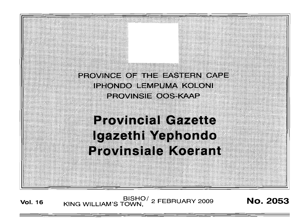PROVINCE OF THE EASTERN CAPE IPHONDO LEMPUMA KOLONI PROVINSIE OOS KAAP

# **Provincial Gazette** Igazethi Yephondo Provinsiale Koerant

**Vol. <sup>16</sup>** BISHO/ KING WILLIAM'S TOWN  $_{\rm c}^{\rm O/}$  2 FEBRUARY 2009 Mo. 2053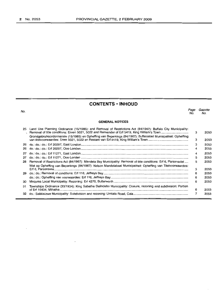# **CONTENTS· INHOLID**

| No. |                                                                                                                  | Page<br>No. | Gazette<br>No. |
|-----|------------------------------------------------------------------------------------------------------------------|-------------|----------------|
|     | <b>GENERAL NOTICES</b>                                                                                           |             |                |
| 25  | Land Use Planning Ordinance (15/1985): and Removal of Restrictions Act (84/1967): Buffalo City Municipality:     | з           | 2053           |
|     | Grondgebruiksordonnansie (15/1985) en Opheffing van Beperkings (84/1967): Buffalostad Munisipaliteit: Opheffing  | з           | 2053           |
| 26  |                                                                                                                  | 3           | 2053           |
| 26  |                                                                                                                  | 4           | 2053           |
| 27  |                                                                                                                  | 4           | 2053           |
| 27  |                                                                                                                  | 5           | 2053           |
| 28  | Removal of Restrictions Act (84/1967): Mandela Bay Municipality: Removal of title conditions: Erf 6, Parsonsvlei | 5           | 2053           |
|     | Wet op Opheffing van Beperkings (84/1967): Nelson Mandelabaai Munisipaliteit: Opheffing van Titelvoorwaardes:    | 5           | 2053           |
| 29  |                                                                                                                  | 6           | 2053           |
|     |                                                                                                                  | 6           | 2053           |
| 30  |                                                                                                                  | 6           | 2053           |
| 31  | Townships Ordinance (33/1934): King Sabatha Dalindebo Municipality: Closure, rezoning and subdivision: Portion   | 6           | 2053           |
| 32  |                                                                                                                  |             | 2053           |
|     |                                                                                                                  |             |                |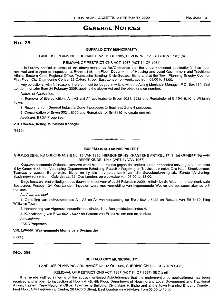# **GENERAL NOTICES**

# No. 25

### **BUFFALO CITY MUNICIPALITY**

LAND USE PLANNING ORDINANCE No. 15 OF 1985, REZONING i.t.o. SECTION 17 (2) (a)

### REMOVAL OF RESTRICTIONS ACT, 1967 (ACT 84 OF 1967)

It is hereby notified in terms of the above-mentioned Act/Ordinance that the undermentioned application(s) has been received and is open to inspection at Room 4145, 4th Floor, Department of Housing and Local Government and Traditional Affairs, Eastern Cape Regional Office, Tyamzashe Building, Civic Square, Bisho and at the Town Planning Enquiry Counter, First Floor, City Engineering Centre, 26 Oxford Street, East London on weekdays from 08:00 to 13:00.

Any objections, with full reasons therefor, must be lodged in writing with the Acting Municipal Manager, P.O. Box 134, East London, not later than 24 February 2009, quoting the above Act and the objector's erf number.

Nature of Application:

1. Removal of title conditions A1, A3 and A4 applicable to Erven 5021, 5022 and Remainder of Ert 5419, King William's Town.

2. Rezoning from General Industrial Zone 1 purposes to Business Zone 4 purposes.

3. Consolidation of Erven 5021, 5022 and Remainder of Ert 5419, to create one ert.

Applicant: ESDA Properties.

### V.A. **LWANA, Acting Municipal Manager**

(5532)

### **BUFFALOSTAD MUNISIPALITEIT**

**-**

GRONDGEBRUIKS ORDONNANSIE No. 15 VAN 1985, HERSONERING KRAGTENS ARTIKEL 17 (2) (a) OPHEFFING VAN BEPERKINGS, 1967 (WET 84 VAN 1967)

Kragtens bostaande Ordonnansies/Wet word hiermee kennis gegee dat onderstaande aansoek/e ontvang is en ter insae Ie by Kamer 4145, 4de Verdieping, Departement Behuising, Plaaslike Regering en Tradisionele sake, Oos-Kaap Streekkantoor, Tyamzashe gebou, Burgerplein, Bisho en by die navraetoonbank van die Stadsbeplanningstak, Eerste Verdieping, Stadsingenieursentrum, Oxfordstraat 26, Oos-Londen, op weeksdae van 08:00 tot 13:00.

Enige besware, met volledige redes daarvoor, moet voor of op 24 Februarie 2009 skriftelik by die Waarnemende Munisipale Bestuurder, Posbus 134, Oos-Londen, ingedien word met vermelding van bogenoemde Wet en die beswaarmaker se ertnommer.

Aard van aansoek:

1. Opheffing van titelvoorwaardes A1, A3 en A4 van toepassing op Erwe 5021, 5022 en Restant van Ert 5419, King William's Town.

2. Hersonering van Alqerneenindustrieledoeleindes 1 na Besigheidsdoeleindes 4.

3. Konsolidering van Erwe 5021, 5022 en Restant van Ert 5419, om een ert te skep.

Aansoekers:

ESDA Properties.

### V.A. **LWANA, Waarnemende Munisipale Bestuurder**

(5532)

# No. 26

### **BUFFALO CITY MUNICIPALITY**

LAND USE PLANNING ORDINANCE No. 15 OF 1985, SUBDIVISION i.t.o, SECTION 24 (2)

### REMOVAL OF RESTRICTIONS ACT, 1967 (ACT 84 OF 1967) SEC 3 (6)

It is hereby notified in terms of the above-mentioned Act/Ordinance that the undermentioned application(s) has been received and is open to inspection at Room 4145, 4th Floor, Department of Housing and Local Government and Traditional Affairs, Eastern Cape Regional Office, Tyamzashe Building, Civic Square, Bisho and at the Town Planning Enquiry Counter, First Floor, City Engineering Centre, 26 Oxford Street, East London on weekdays from 08:00 to 13:00.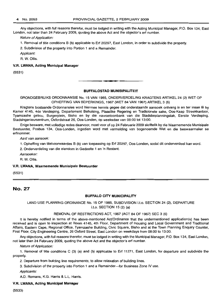Any objections, with full reasons therefor, must be lodged in writing with the Acting Municipal Manager, P.O. Box 134, East London, not later than 24 February 2009, quoting the above Act and the objector's erf number.

Nature of Application:

1. Removal of title conditions B (b) applicable to Erf 20297, East London, in order to subdivide the property.

2. Subdivision of the property into Portion 1 and a Remainder.

Applicant:

R. W. Ollis.

### V.R. LWANA, Acting Municipal Manager

(5531)

### **BUFFALOSTAD MUNISIPALITEIT**

-**- .**

GRONDGEBRUIKS ORDONNANSIE No. 15 VAN 1985, ONDERVERDELING KRAGTENS ARTIKEL 24 (2) WET OP OPHEFFING VAN BEPERKINGS, 1967 (WET 84 VAN 1967) ARTIKEL 3 (6)

Kragtens bostaande Ordonnansies word hiermee kennis gegee dat onderstaande aansoek ontvang is en ter insae lê by Kamer 4145, 4de Verdieping, Departement Behuising, Plaaslike Regering en Tradisionele sake, Oos-Kaap Streekkantoor, Tyamzashe gebou, Burgerplein, Bisho en by die navraetoonbank van die Stadsbeplanningstak, Eerste Verdieping, Stadsingenieursentrum, Oxfordstraat 26, Oos-Londen, op weeksdae van 08:00 tot 13:00.

Enige besware, met volledige redes daarvoor, moet voor of op 24 Februarie 2009 skriftelik by die Waarnemende Munisipale Bestuurder, Posbus 134, Oos-Londen, ingedien word met vermelding van bogenoemde Wet en die beswaarmaker se erfnommer.

Aard van aansoek:

1. Opheffing van titelvoorwaardes B (b) van toepassing op Erf 20297, Oos-Londen, sodat dit onderverdeel kan word.

2. Onderverdeling van die eiendom in Gedeelte 1 en 'n Restant.

Aansoeker:

R. W. Ollis.

### V.R. LWANA, Waarnemende Munisipale Bestuurder

(5531)

# No. 27

### BUFFALO CITY MUNICIPALITY

### LAND USE PLANNING ORDINANCE No. 15 OF 1985, SUBDIVISION l.t.o. SECTION 24 (2), DEPARTURE i.t.o. SECTION 15 (2) (a)

### REMOVAL OF RESTRICTIONS ACT, 1967 (ACT 84 OF 1967) SEC 3 (6)

It is hereby notified in terms of the above-mentioned AcVOrdinance that the undermentioned application(s) has been received and is open to inspection at Room 4145, 4th Floor, Department of Housing and Local Government and Traditional Affairs, Eastern Cape, Regional Office, Tyamzashe Building, Civic Square, Bisho and at the Town Planning Enquiry Counter, First Floor, City Engineering Centre, 26 Oxford Street, East London on weekdays from 08:00 to 13:00.

Any objections, with full reasons therefor, must be lodged in writing with the Municipal Manager, P.O. Box 134, East London, not later than 24 February 2009, quoting the above Act and the objector's erf number.

Nature of Application:

1. Removal of title conditions C (3) (a) and (b) applicable to Erf 11271, East London, for departure and subdivide the property.

2. Departure from building line requirements, to allow relaxation of building lines.

3. Subdivision of the property into Portion 1 and a Remainder-for Business Zone IV use.

Applicants:

A.D. Romans, K.G. Harris & L.L. Harris.

### V.R. LWANA, Acting Municipal Manager

(5533)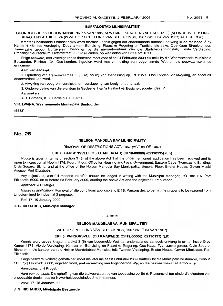### BUFFALOSTAD MUNISIPALITEIT

GRONDGEBRUIKS ORDONNANSIE No. 15 VAN 1985, AFWYKING KRAGTENS ARTIKEL 15 (2) (a) ONDERVERDELING KRAGTENS ARTIKEL 24 (2) WET OP OPHEFFING VAN BEPERKINGS, 1967 (WET 84 VAN 1967) ARTIKEL 3 (6)

Kragtens bostaande Ordonnansies word hiermee kennis gegee dat onderstaande aansoek ontvang is en ter insae lê by Kamer 4145, 4de Verdieping, Departement Behuising, Plaaslike Regering en Tradisionele sake, Oos-Kaap Streekkantoor, Tyamzashe gebou, Burgerplein, Bisho en by die navraetoonbank van die Stadsbeplanningstak, Eeste Verdieping, Stadsingenieursentrum, Oxfordstraat 26, Oos-Londen, op weeksdae van 08:00 tot 13:00.

Enige besware, met volledige redes daarvoor, moet voor of op 24 Februarie 2009 skriftelik by die Waarnemende Munisipale Bestuurder, Posbus 134, Oos-Londen, ingedien word met vermelding van bogenoemde Wet en die beswaarmaker se ertnommer.

Aard van aansoek:

1. Opheffing van titelvoowaardes C (3) (a) en (b) van toepassing op Erf 11271, Oos-Londen, vir afwyking, en sodat dit onderverdeel kan word.

2. Afwyking van bougrens vereistes, om verslapping van boulyne toe te laat.

3. Onderverdeling van die eiendom in Gedeelte 1 en 'n Restant vir Besigheidsdoeleindes IV.

Aansoekers:

A.D. Romans, K.G. Harris & L.L. Harris.

### V.A. LWANA, Waarnemende Munisipale Bestuurder

(5533)

## No. 28

### NELSON MANDELA BAY MUNICIPALITY

REMOVAL OF RESTRICTIONS ACT, 1967 (ACT 84 OF 1967)

### ERF 6, PARSONSVLEI (OLD CAPE ROAD) (CF19/00006) (02130135) (LK)

Notice is given in terms of section 3 (6) of the above Act that the undermentioned application has been received and is open to inspection at Room 4178, Fourth Floor, Office for Housing and Local Government: Eastern Cape, Tyamzashe Building, Civic Square, Bisho, and at the office of the Nelson Mandela Bay Municipality, Second Floor, Brister House, Govan Mbeki Avenue, Port Elizabeth.

Any objections, with full reasons therefor, should be lodged in writing with the Municipal Manager, PO Box 116, Port Elizabeth, 6000, on or before 23 February 2009, quoting the above Act and the objector's ert number.

Applicant: J H Krugel.

Nature of application: Removal of title conditions applicable to Erf 6, Parsonsvlei, to permit the property to be rezoned from Undetermined to Industrial 2 purposes.

Ref. 17-15 January 2009.

### J. G. RICHARDS, Municipal Manager

# **•** NELSON MANDELABAAI MUNISIPALITEIT

WET OP OPHEFFING VAN BEPERKINGS, 1967 (WET 84 VAN 1967)

#### ERF 6, PARSONSVLEI (OU KAAPWEG) (CF19/00006) (02130135) (LK)

Kennis word gegee kragtens artikel 3 (6) van bogemelde Wet dat onderstaande aansoek ontvang is en ter insae lê by Kamer 4178, Vierde Verdieping, Kantoor vir Behuising en Plaaslike Regering: Oos-Kaap, Tyamzashe-gebou, Civic Square, Bisho en in die kantoor van die Nelson Mandelabaai Munisipaliteit, Tweede Verdieping, Brister House, Govan Mbekilaan, Port Elizabeth.

Enige besware, volledig gemotiveer, moet nie later nie as 23 Februarie 2009 skriftelik by die Munisipale Bestuurder, Posbus 116, Port Elizabeth, 6000, ingedien word, met vermelding van bogenoemde Wet en die beswaarmaker se erfnommer.

Aansoeker: J H Krugel.

Aard van aansoek: Die opheffing van die titelvoorwaardes van toepassing op Erf 6, Parsonsvlei ten einde die eiendom van onbepaalde doeleindes tot Nywerheidsdoeleindes 2 te hersoneer.

Verw. 17-15 Januarie 2009.

#### J. G. RICHARDS, Munisipale Bestuurder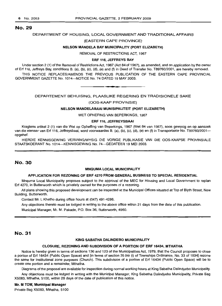### No. 29

### DEPARTMENT OF HOUSING, LOCAL GOVERNMENT AND TRADITIONAL AFFAIRS

### (EASTERN CAPE PROVINCE)

### NELSON MANDELA BAY MUNICIPALITY (PORT ELIZABETH)

REMOVAL OF RESTRICTIONS ACT, 1967

### ERF 116, JEFFREYS BAY

Under section 2 (1) of the Removal of Restrictions Act, 1967 (Act 84 of 1967), as amended, and on application by the owner of Erf 116, Jeffreys Bay, conditions B. (a), (b), (c), (d), (e) and (f) in Deed of Transfer No. T89760/2001, are hereby removed. THIS NOTICE REPLACES/AMENDS THE PREVIOUS PUBLICATION OF THE EASTERN CAPE PROVINCIAL GOVERNMENT GAZETTE No. 1014-NOTICE No. 74 DATED 19 MAY 2003.

### DEPARTEMENT BEHUISING, PLAASLIKE REGERING EN TRADISIONELE SAKE

**\_ E**

### (OOS-KAAP PROVINSIE)

### NELSON MANDELABAAI MUNISIPALITEIT (PORT ELIZABETH)

WET OPHEFING VAN BEPERKINGS, 1967

### ERF 116, JEFFREYSBAAI

Kragtens artikel 2 (1) van die Wet op Opheffing van Beperkings, 1967 (Wet 84 van 1967), soos gewysig en op aansoek van die eienaar van Erf 116, Jeffreysbaai, word voorwaardes B. (a), (b), (c), (d), (e) en (f) in Transportakte No. T89760/2001 opgehef.

HIERDIE KENNISGEWING VERVANG/WYSIG DIE VORIGE PUBLIKASIE VAN DIE OOS-KAAPSE PROVINSIALE STAATSKOERANT No. 1014-KENNISGEWING No. 74-GEDATEER 19 MEI 2003.

### No. 30

### MNQUMA LOCAL MUNICIPALITY

### APPLICATION FOR REZONING OF ERF 4270 FROM GENERAL BUSINESS TO SPECIAL RESIDENTIAL

Mnquma Local Municipality proposes subject to the approval of the MEC for Housing and Local Government to replan Erf 4270, in Butterworth which is privately owned for the purposes of a rezoning.

All plans showing this proposed development can be inspected at the Municipal Offices situated at Top of Blyth Street, New Building, Butterworth.

Contact Mr. L Khetho during office hours at (047) 491-4286.

Any objections thereto must be lodged in writing to the above office within 21 days from the date of this publication.

Municipal Manager, Mr. M. Pakade, P.O. Box 36, Butterworth, 4960.

# No. 31

### KING SABATHA DALINDEBO MUNICIPALITY

### CLOSURE, REZONING AND SUBDIVISION OF A PORTION OF ERF 16434, MTHATHA

Notice is hereby given in terms of sections 136 and 123 of the Municipalities Act, 1979, that the Council proposes to close a portion of Erf 16434 (Public Open Space) and [in terms of section 35 bis (i) of Townships Ordinance, No. 33 of 1934] rezone the same for Institutional zone purposes (Church). This subdivision of a portion of Erf 16434 (Public Open Space) will be to create one portion and a remainder, Mthatha.

Diagrams of the proposal are available for inspection during normal working hours at King Sabatha Dalindyebo Municipality.

Any objections must be lodged in writing with the Municipal Manager, King Sabatha Dalindyebo Municipality, Private Bag X5083, Mthatha, 51DO, within 28 days of the date of publication of this notice.

### Mr. M TOM, Municipal Manager

Private Bag X5083, Mthatha, 5100